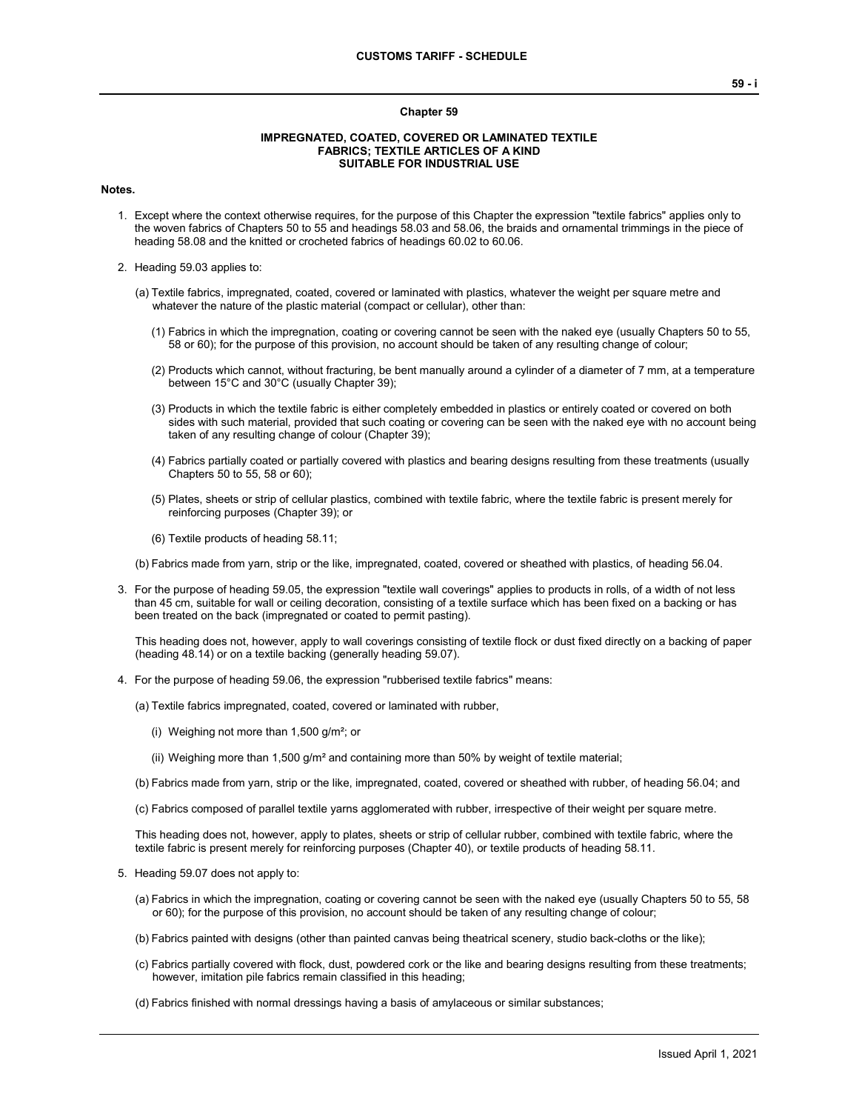## **Chapter 59**

## **IMPREGNATED, COATED, COVERED OR LAMINATED TEXTILE FABRICS; TEXTILE ARTICLES OF A KIND SUITABLE FOR INDUSTRIAL USE**

## **Notes.**

- 1. Except where the context otherwise requires, for the purpose of this Chapter the expression "textile fabrics" applies only to the woven fabrics of Chapters 50 to 55 and headings 58.03 and 58.06, the braids and ornamental trimmings in the piece of heading 58.08 and the knitted or crocheted fabrics of headings 60.02 to 60.06.
- 2. Heading 59.03 applies to:
	- (a) Textile fabrics, impregnated, coated, covered or laminated with plastics, whatever the weight per square metre and whatever the nature of the plastic material (compact or cellular), other than:
		- (1) Fabrics in which the impregnation, coating or covering cannot be seen with the naked eye (usually Chapters 50 to 55, 58 or 60); for the purpose of this provision, no account should be taken of any resulting change of colour;
		- (2) Products which cannot, without fracturing, be bent manually around a cylinder of a diameter of 7 mm, at a temperature between 15°C and 30°C (usually Chapter 39);
		- (3) Products in which the textile fabric is either completely embedded in plastics or entirely coated or covered on both sides with such material, provided that such coating or covering can be seen with the naked eye with no account being taken of any resulting change of colour (Chapter 39);
		- (4) Fabrics partially coated or partially covered with plastics and bearing designs resulting from these treatments (usually Chapters 50 to 55, 58 or 60);
		- (5) Plates, sheets or strip of cellular plastics, combined with textile fabric, where the textile fabric is present merely for reinforcing purposes (Chapter 39); or
		- (6) Textile products of heading 58.11;
	- (b) Fabrics made from yarn, strip or the like, impregnated, coated, covered or sheathed with plastics, of heading 56.04.
- 3. For the purpose of heading 59.05, the expression "textile wall coverings" applies to products in rolls, of a width of not less than 45 cm, suitable for wall or ceiling decoration, consisting of a textile surface which has been fixed on a backing or has been treated on the back (impregnated or coated to permit pasting).

This heading does not, however, apply to wall coverings consisting of textile flock or dust fixed directly on a backing of paper (heading 48.14) or on a textile backing (generally heading 59.07).

- 4. For the purpose of heading 59.06, the expression "rubberised textile fabrics" means:
	- (a) Textile fabrics impregnated, coated, covered or laminated with rubber,
		- (i) Weighing not more than  $1,500$  g/m<sup>2</sup>; or
		- (ii) Weighing more than  $1,500$  g/m<sup>2</sup> and containing more than 50% by weight of textile material;
	- (b) Fabrics made from yarn, strip or the like, impregnated, coated, covered or sheathed with rubber, of heading 56.04; and
	- (c) Fabrics composed of parallel textile yarns agglomerated with rubber, irrespective of their weight per square metre.

This heading does not, however, apply to plates, sheets or strip of cellular rubber, combined with textile fabric, where the textile fabric is present merely for reinforcing purposes (Chapter 40), or textile products of heading 58.11.

- 5. Heading 59.07 does not apply to:
	- (a) Fabrics in which the impregnation, coating or covering cannot be seen with the naked eye (usually Chapters 50 to 55, 58 or 60); for the purpose of this provision, no account should be taken of any resulting change of colour;
	- (b) Fabrics painted with designs (other than painted canvas being theatrical scenery, studio back-cloths or the like);
	- (c) Fabrics partially covered with flock, dust, powdered cork or the like and bearing designs resulting from these treatments; however, imitation pile fabrics remain classified in this heading;
	- (d) Fabrics finished with normal dressings having a basis of amylaceous or similar substances;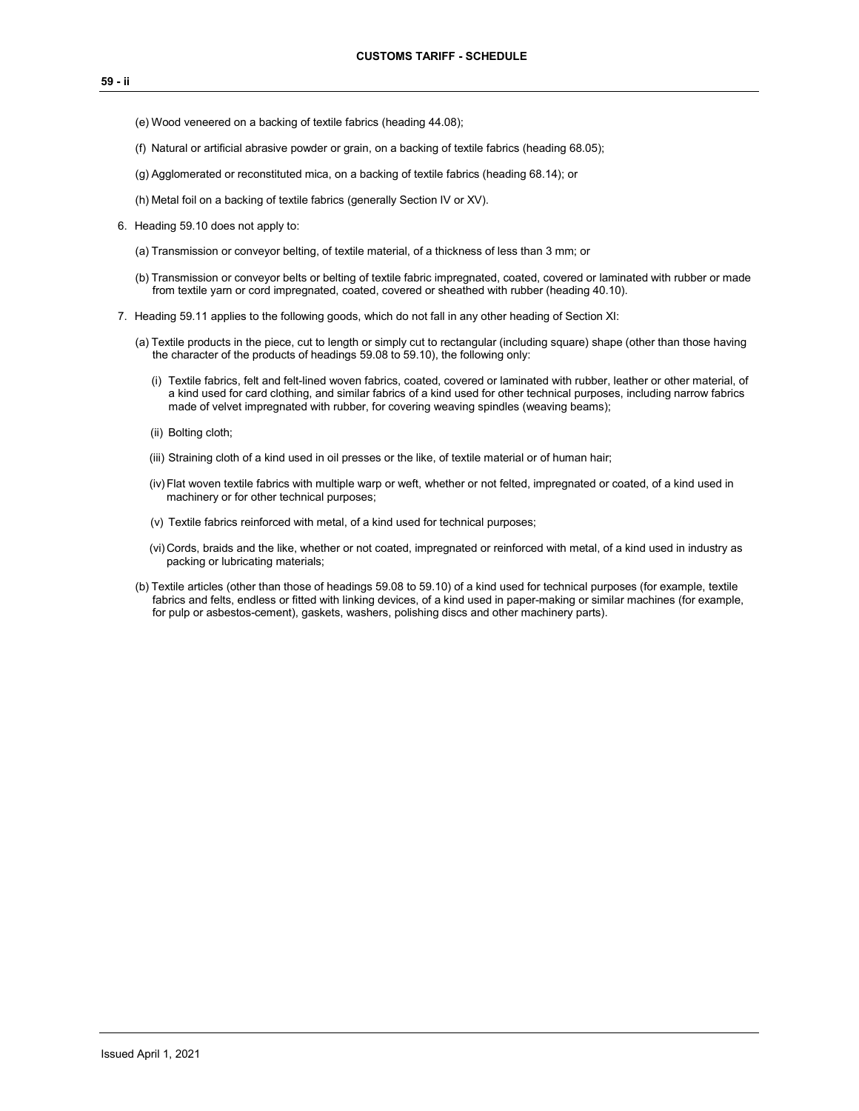- (e) Wood veneered on a backing of textile fabrics (heading 44.08);
- (f) Natural or artificial abrasive powder or grain, on a backing of textile fabrics (heading 68.05);
- (g) Agglomerated or reconstituted mica, on a backing of textile fabrics (heading 68.14); or
- (h) Metal foil on a backing of textile fabrics (generally Section IV or XV).
- 6. Heading 59.10 does not apply to:
	- (a) Transmission or conveyor belting, of textile material, of a thickness of less than 3 mm; or
	- (b) Transmission or conveyor belts or belting of textile fabric impregnated, coated, covered or laminated with rubber or made from textile yarn or cord impregnated, coated, covered or sheathed with rubber (heading 40.10).
- 7. Heading 59.11 applies to the following goods, which do not fall in any other heading of Section XI:
	- (a) Textile products in the piece, cut to length or simply cut to rectangular (including square) shape (other than those having the character of the products of headings 59.08 to 59.10), the following only:
		- (i) Textile fabrics, felt and felt-lined woven fabrics, coated, covered or laminated with rubber, leather or other material, of a kind used for card clothing, and similar fabrics of a kind used for other technical purposes, including narrow fabrics made of velvet impregnated with rubber, for covering weaving spindles (weaving beams);
		- (ii) Bolting cloth;
		- (iii) Straining cloth of a kind used in oil presses or the like, of textile material or of human hair;
		- (iv)Flat woven textile fabrics with multiple warp or weft, whether or not felted, impregnated or coated, of a kind used in machinery or for other technical purposes;
		- (v) Textile fabrics reinforced with metal, of a kind used for technical purposes;
		- (vi) Cords, braids and the like, whether or not coated, impregnated or reinforced with metal, of a kind used in industry as packing or lubricating materials;
	- (b) Textile articles (other than those of headings 59.08 to 59.10) of a kind used for technical purposes (for example, textile fabrics and felts, endless or fitted with linking devices, of a kind used in paper-making or similar machines (for example, for pulp or asbestos-cement), gaskets, washers, polishing discs and other machinery parts).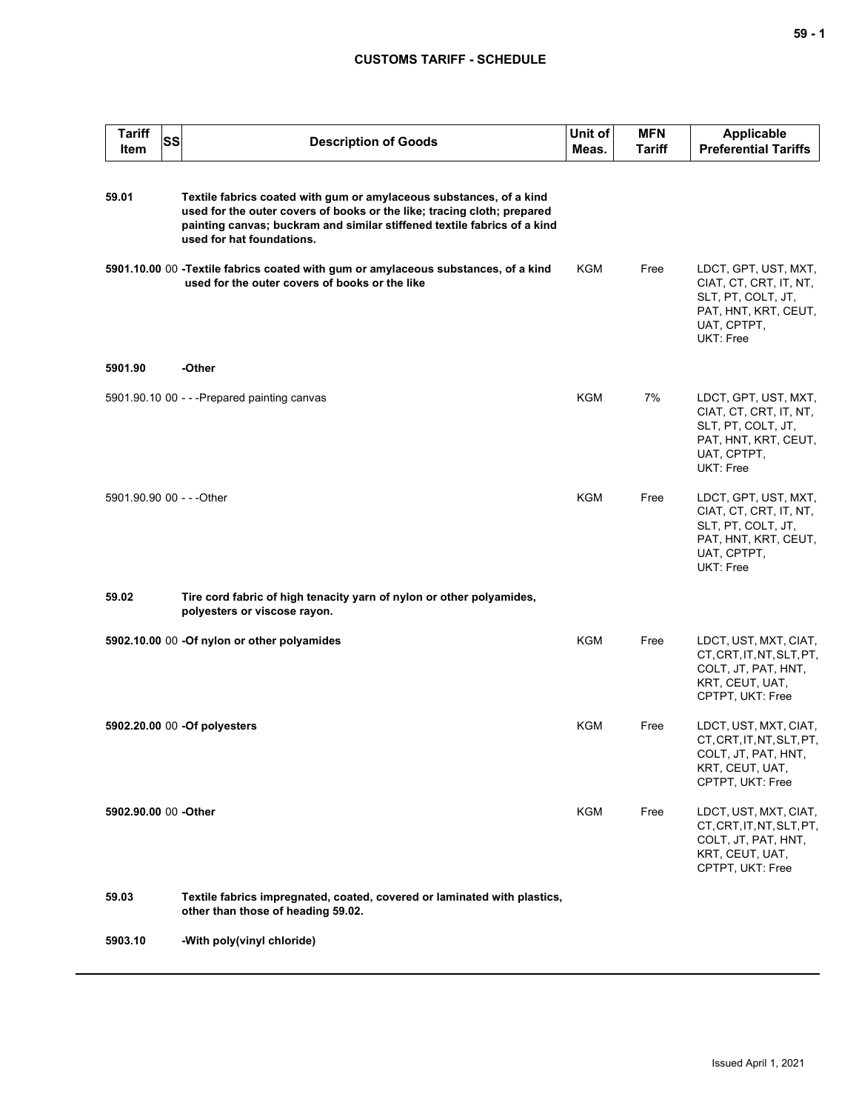## **CUSTOMS TARIFF - SCHEDULE**

| <b>Tariff</b><br><b>Item</b> | <b>SS</b> | <b>Description of Goods</b>                                                                                                                                                                                                                             | Unit of<br>Meas. | <b>MFN</b><br>Tariff | <b>Applicable</b><br><b>Preferential Tariffs</b>                                                                         |
|------------------------------|-----------|---------------------------------------------------------------------------------------------------------------------------------------------------------------------------------------------------------------------------------------------------------|------------------|----------------------|--------------------------------------------------------------------------------------------------------------------------|
| 59.01                        |           | Textile fabrics coated with gum or amylaceous substances, of a kind<br>used for the outer covers of books or the like; tracing cloth; prepared<br>painting canvas; buckram and similar stiffened textile fabrics of a kind<br>used for hat foundations. |                  |                      |                                                                                                                          |
|                              |           | 5901.10.00 00 -Textile fabrics coated with gum or amylaceous substances, of a kind<br>used for the outer covers of books or the like                                                                                                                    | <b>KGM</b>       | Free                 | LDCT, GPT, UST, MXT,<br>CIAT, CT, CRT, IT, NT,<br>SLT, PT, COLT, JT,<br>PAT, HNT, KRT, CEUT,<br>UAT, CPTPT,<br>UKT: Free |
| 5901.90                      |           | -Other                                                                                                                                                                                                                                                  |                  |                      |                                                                                                                          |
|                              |           | 5901.90.10 00 - - - Prepared painting canvas                                                                                                                                                                                                            | <b>KGM</b>       | 7%                   | LDCT, GPT, UST, MXT,<br>CIAT, CT, CRT, IT, NT,<br>SLT, PT, COLT, JT,<br>PAT, HNT, KRT, CEUT,<br>UAT, CPTPT,<br>UKT: Free |
| 5901.90.90 00 - - - Other    |           |                                                                                                                                                                                                                                                         | <b>KGM</b>       | Free                 | LDCT, GPT, UST, MXT,<br>CIAT, CT, CRT, IT, NT,<br>SLT, PT, COLT, JT,<br>PAT, HNT, KRT, CEUT,<br>UAT, CPTPT,<br>UKT: Free |
| 59.02                        |           | Tire cord fabric of high tenacity yarn of nylon or other polyamides,<br>polyesters or viscose rayon.                                                                                                                                                    |                  |                      |                                                                                                                          |
|                              |           | 5902.10.00 00 -Of nylon or other polyamides                                                                                                                                                                                                             | <b>KGM</b>       | Free                 | LDCT, UST, MXT, CIAT,<br>CT, CRT, IT, NT, SLT, PT,<br>COLT, JT, PAT, HNT,<br>KRT, CEUT, UAT,<br>CPTPT, UKT: Free         |
|                              |           | 5902.20.00 00 - Of polyesters                                                                                                                                                                                                                           | <b>KGM</b>       | Free                 | LDCT, UST, MXT, CIAT,<br>CT, CRT, IT, NT, SLT, PT,<br>COLT, JT, PAT, HNT,<br>KRT, CEUT, UAT,<br>CPTPT, UKT: Free         |
| 5902.90.00 00 -Other         |           |                                                                                                                                                                                                                                                         | KGM              | Free                 | LDCT, UST, MXT, CIAT,<br>CT, CRT, IT, NT, SLT, PT,<br>COLT, JT, PAT, HNT,<br>KRT, CEUT, UAT,<br>CPTPT, UKT: Free         |
| 59.03                        |           | Textile fabrics impregnated, coated, covered or laminated with plastics,<br>other than those of heading 59.02.                                                                                                                                          |                  |                      |                                                                                                                          |
| 5903.10                      |           | -With poly(vinyl chloride)                                                                                                                                                                                                                              |                  |                      |                                                                                                                          |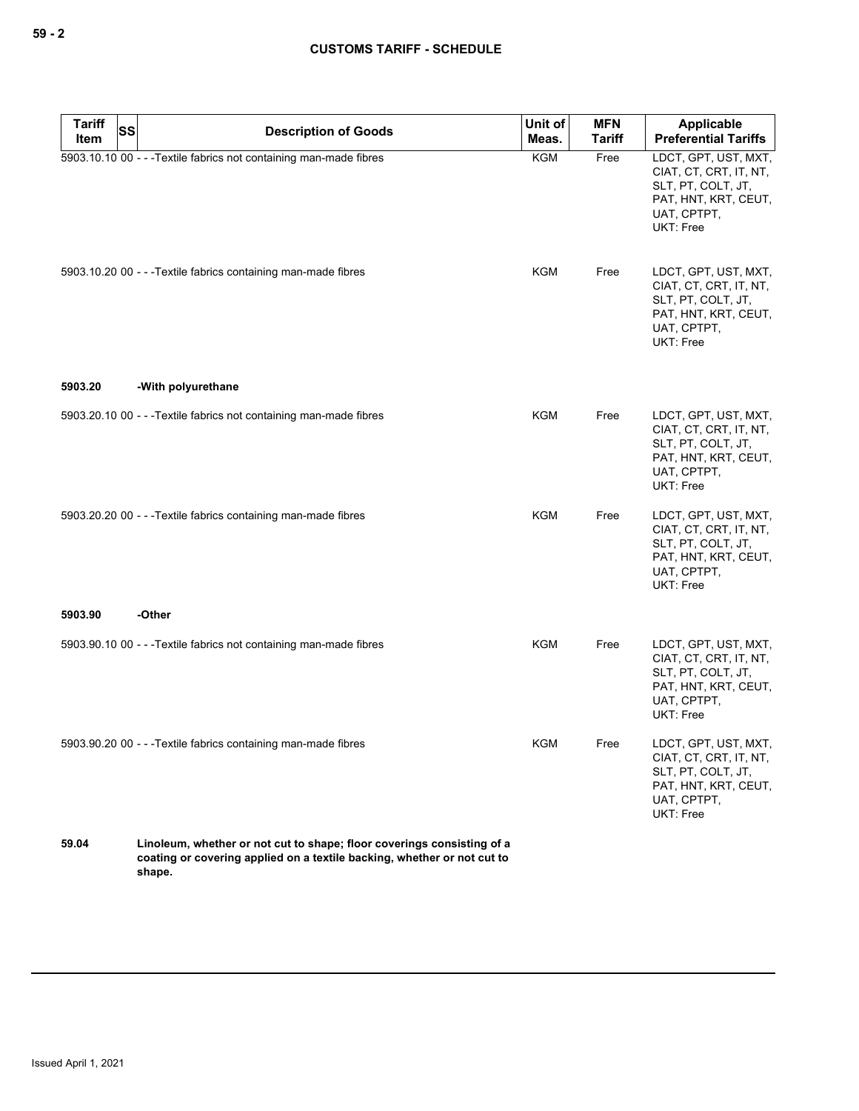| Tariff<br>Item | <b>SS</b> | <b>Description of Goods</b>                                                                                                                                 | Unit of<br>Meas. | <b>MFN</b><br><b>Tariff</b> | Applicable<br><b>Preferential Tariffs</b>                                                                                |
|----------------|-----------|-------------------------------------------------------------------------------------------------------------------------------------------------------------|------------------|-----------------------------|--------------------------------------------------------------------------------------------------------------------------|
|                |           | 5903.10.10 00 - - - Textile fabrics not containing man-made fibres                                                                                          | <b>KGM</b>       | Free                        | LDCT, GPT, UST, MXT,<br>CIAT, CT, CRT, IT, NT,<br>SLT, PT, COLT, JT,<br>PAT, HNT, KRT, CEUT,<br>UAT, CPTPT,<br>UKT: Free |
|                |           | 5903.10.20 00 - - - Textile fabrics containing man-made fibres                                                                                              | KGM              | Free                        | LDCT, GPT, UST, MXT,<br>CIAT, CT, CRT, IT, NT,<br>SLT, PT, COLT, JT,<br>PAT, HNT, KRT, CEUT,<br>UAT, CPTPT,<br>UKT: Free |
| 5903.20        |           | -With polyurethane                                                                                                                                          |                  |                             |                                                                                                                          |
|                |           | 5903.20.10 00 - - - Textile fabrics not containing man-made fibres                                                                                          | <b>KGM</b>       | Free                        | LDCT, GPT, UST, MXT,<br>CIAT, CT, CRT, IT, NT,<br>SLT, PT, COLT, JT,<br>PAT, HNT, KRT, CEUT,<br>UAT, CPTPT,<br>UKT: Free |
|                |           | 5903.20.20 00 - - - Textile fabrics containing man-made fibres                                                                                              | <b>KGM</b>       | Free                        | LDCT, GPT, UST, MXT,<br>CIAT, CT, CRT, IT, NT,<br>SLT, PT, COLT, JT,<br>PAT, HNT, KRT, CEUT,<br>UAT, CPTPT,<br>UKT: Free |
| 5903.90        |           | -Other                                                                                                                                                      |                  |                             |                                                                                                                          |
|                |           | 5903.90.10 00 - - - Textile fabrics not containing man-made fibres                                                                                          | <b>KGM</b>       | Free                        | LDCT, GPT, UST, MXT,<br>CIAT, CT, CRT, IT, NT,<br>SLT, PT, COLT, JT,<br>PAT, HNT, KRT, CEUT,<br>UAT, CPTPT,<br>UKT: Free |
|                |           | 5903.90.20 00 - - - Textile fabrics containing man-made fibres                                                                                              | <b>KGM</b>       | Free                        | LDCT, GPT, UST, MXT,<br>CIAT, CT, CRT, IT, NT,<br>SLT, PT, COLT, JT,<br>PAT, HNT, KRT, CEUT,<br>UAT, CPTPT,<br>UKT: Free |
| 59.04          |           | Linoleum, whether or not cut to shape; floor coverings consisting of a<br>coating or covering applied on a textile backing, whether or not cut to<br>shape. |                  |                             |                                                                                                                          |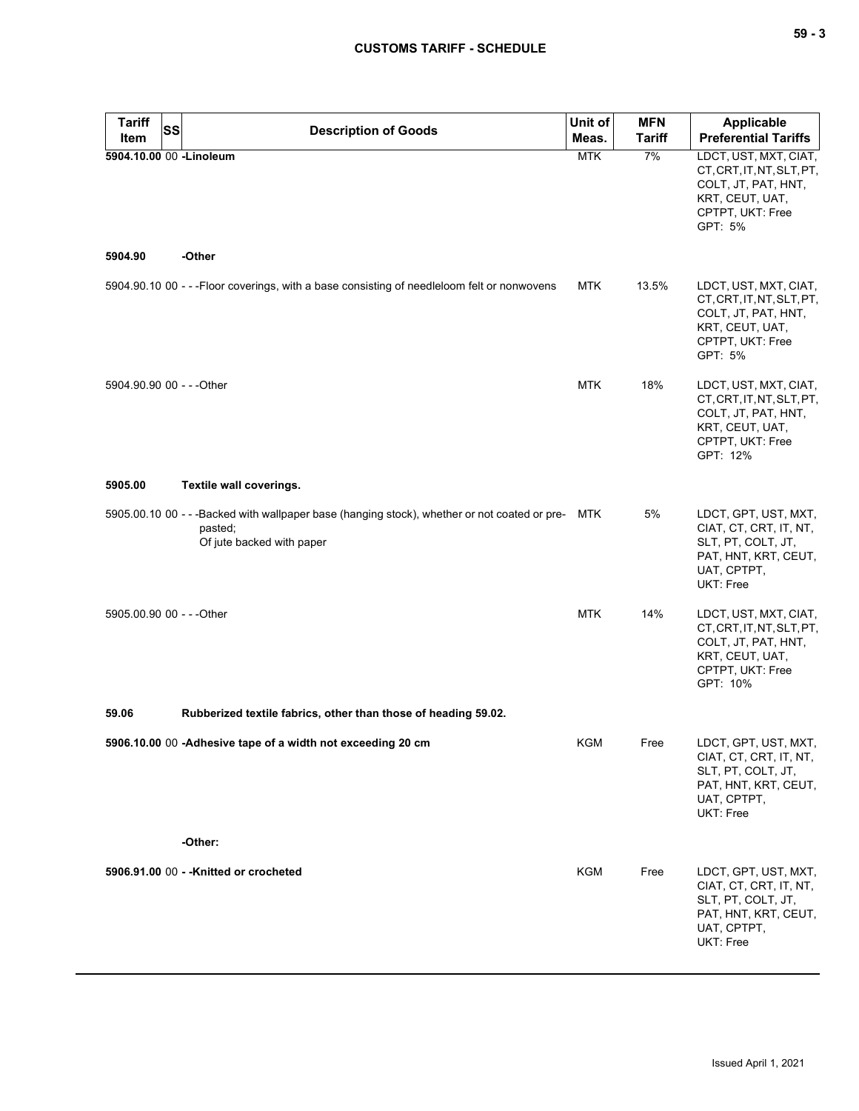| ×<br>۰. |  | v<br>۰. |
|---------|--|---------|
|---------|--|---------|

| <b>Tariff</b>             | <b>SS</b> | <b>Description of Goods</b>                                                                                                               | Unit of    | <b>MFN</b>    | <b>Applicable</b>                                                                                                            |
|---------------------------|-----------|-------------------------------------------------------------------------------------------------------------------------------------------|------------|---------------|------------------------------------------------------------------------------------------------------------------------------|
| <b>Item</b>               |           |                                                                                                                                           | Meas.      | <b>Tariff</b> | <b>Preferential Tariffs</b>                                                                                                  |
| 5904.10.00 00 -Linoleum   |           |                                                                                                                                           | <b>MTK</b> | 7%            | LDCT, UST, MXT, CIAT,<br>CT, CRT, IT, NT, SLT, PT,<br>COLT, JT, PAT, HNT,<br>KRT, CEUT, UAT,<br>CPTPT, UKT: Free<br>GPT: 5%  |
| 5904.90                   |           | -Other                                                                                                                                    |            |               |                                                                                                                              |
|                           |           | 5904.90.10 00 - - - Floor coverings, with a base consisting of needleloom felt or nonwovens                                               | <b>MTK</b> | 13.5%         | LDCT, UST, MXT, CIAT,<br>CT, CRT, IT, NT, SLT, PT,<br>COLT, JT, PAT, HNT,<br>KRT, CEUT, UAT,<br>CPTPT, UKT: Free<br>GPT: 5%  |
| 5904.90.90 00 - - - Other |           |                                                                                                                                           | <b>MTK</b> | 18%           | LDCT, UST, MXT, CIAT,<br>CT, CRT, IT, NT, SLT, PT,<br>COLT, JT, PAT, HNT,<br>KRT, CEUT, UAT,<br>CPTPT, UKT: Free<br>GPT: 12% |
| 5905.00                   |           | Textile wall coverings.                                                                                                                   |            |               |                                                                                                                              |
|                           |           | 5905.00.10 00 - - - Backed with wallpaper base (hanging stock), whether or not coated or pre- MTK<br>pasted;<br>Of jute backed with paper |            | 5%            | LDCT, GPT, UST, MXT,<br>CIAT, CT, CRT, IT, NT,<br>SLT, PT, COLT, JT,<br>PAT, HNT, KRT, CEUT,<br>UAT, CPTPT,<br>UKT: Free     |
| 5905.00.90 00 - - - Other |           |                                                                                                                                           | <b>MTK</b> | 14%           | LDCT, UST, MXT, CIAT,<br>CT, CRT, IT, NT, SLT, PT,<br>COLT, JT, PAT, HNT,<br>KRT, CEUT, UAT,<br>CPTPT, UKT: Free<br>GPT: 10% |
| 59.06                     |           | Rubberized textile fabrics, other than those of heading 59.02.                                                                            |            |               |                                                                                                                              |
|                           |           | 5906.10.00 00 -Adhesive tape of a width not exceeding 20 cm                                                                               | KGM        | Free          | LDCT, GPT, UST, MXT,<br>CIAT, CT, CRT, IT, NT,<br>SLT, PT, COLT, JT,<br>PAT, HNT, KRT, CEUT,<br>UAT, CPTPT,<br>UKT: Free     |
|                           |           | -Other:                                                                                                                                   |            |               |                                                                                                                              |
|                           |           | 5906.91.00 00 - - Knitted or crocheted                                                                                                    | <b>KGM</b> | Free          | LDCT, GPT, UST, MXT,<br>CIAT, CT, CRT, IT, NT,<br>SLT, PT, COLT, JT,<br>PAT, HNT, KRT, CEUT,<br>UAT, CPTPT,<br>UKT: Free     |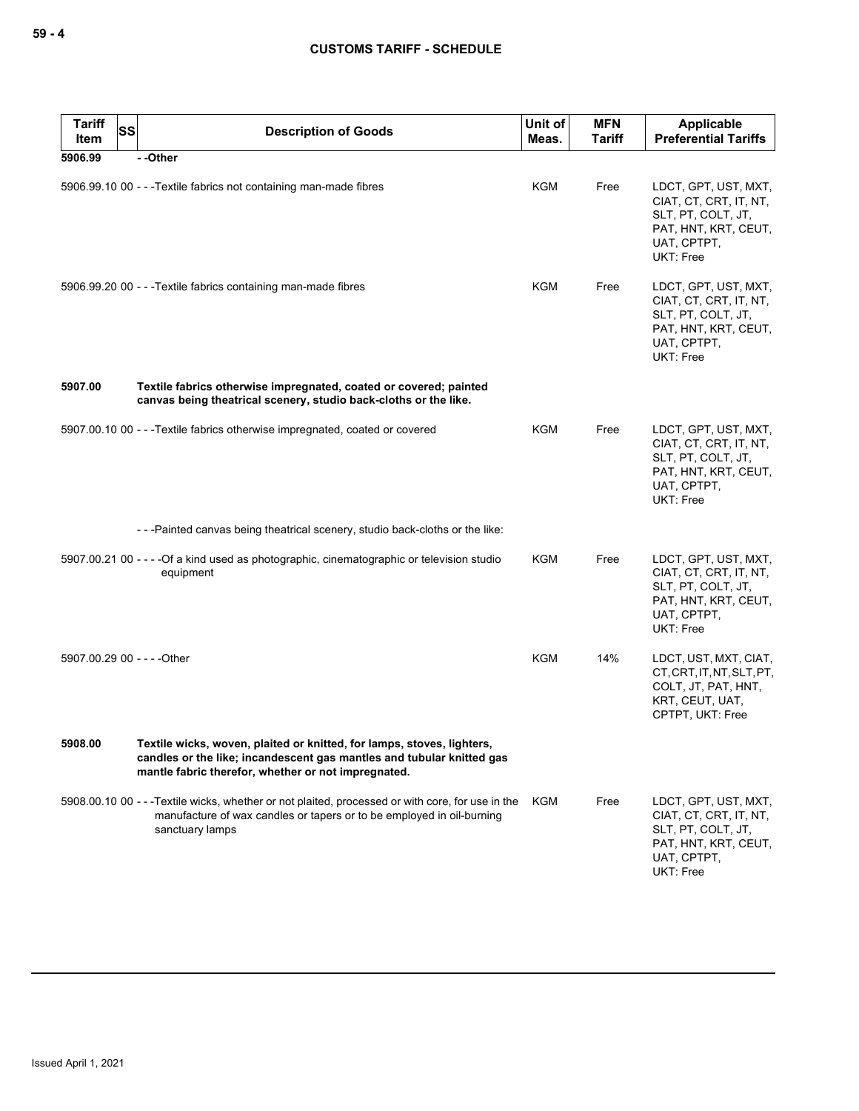| <b>Tariff</b><br>Item | <b>SS</b> | <b>Description of Goods</b>                                                                                                                                                                            | Unit of<br>Meas. | <b>MFN</b><br><b>Tariff</b> | Applicable<br><b>Preferential Tariffs</b>                                                                                |
|-----------------------|-----------|--------------------------------------------------------------------------------------------------------------------------------------------------------------------------------------------------------|------------------|-----------------------------|--------------------------------------------------------------------------------------------------------------------------|
| 5906.99               |           | - -Other                                                                                                                                                                                               |                  |                             |                                                                                                                          |
|                       |           | 5906.99.10 00 - - -Textile fabrics not containing man-made fibres                                                                                                                                      | KGM              | Free                        | LDCT, GPT, UST, MXT,<br>CIAT, CT, CRT, IT, NT,<br>SLT, PT, COLT, JT,<br>PAT, HNT, KRT, CEUT,<br>UAT, CPTPT,<br>UKT: Free |
|                       |           | 5906.99.20 00 - - - Textile fabrics containing man-made fibres                                                                                                                                         | KGM              | Free                        | LDCT, GPT, UST, MXT,<br>CIAT, CT, CRT, IT, NT,<br>SLT, PT, COLT, JT,<br>PAT, HNT, KRT, CEUT,<br>UAT, CPTPT,<br>UKT: Free |
| 5907.00               |           | Textile fabrics otherwise impregnated, coated or covered; painted<br>canvas being theatrical scenery, studio back-cloths or the like.                                                                  |                  |                             |                                                                                                                          |
|                       |           | 5907.00.10 00 - - - Textile fabrics otherwise impregnated, coated or covered                                                                                                                           | <b>KGM</b>       | Free                        | LDCT, GPT, UST, MXT,<br>CIAT, CT, CRT, IT, NT,<br>SLT, PT, COLT, JT,<br>PAT, HNT, KRT, CEUT,<br>UAT, CPTPT,<br>UKT: Free |
|                       |           | ---Painted canvas being theatrical scenery, studio back-cloths or the like:                                                                                                                            |                  |                             |                                                                                                                          |
|                       |           | 5907.00.21 00 - - - -Of a kind used as photographic, cinematographic or television studio<br>equipment                                                                                                 | KGM              | Free                        | LDCT, GPT, UST, MXT,<br>CIAT, CT, CRT, IT, NT,<br>SLT, PT, COLT, JT,<br>PAT, HNT, KRT, CEUT,<br>UAT, CPTPT,<br>UKT: Free |
|                       |           | 5907.00.29 00 - - - - Other                                                                                                                                                                            | KGM              | 14%                         | LDCT, UST, MXT, CIAT,<br>CT, CRT, IT, NT, SLT, PT,<br>COLT, JT, PAT, HNT,<br>KRT, CEUT, UAT,<br>CPTPT, UKT: Free         |
| 5908.00               |           | Textile wicks, woven, plaited or knitted, for lamps, stoves, lighters,<br>candles or the like; incandescent gas mantles and tubular knitted gas<br>mantle fabric therefor, whether or not impregnated. |                  |                             |                                                                                                                          |
|                       |           | 5908.00.10 00 - - - Textile wicks, whether or not plaited, processed or with core, for use in the<br>manufacture of wax candles or tapers or to be employed in oil-burning<br>sanctuary lamps          | KGM              | Free                        | LDCT, GPT, UST, MXT,<br>CIAT, CT, CRT, IT, NT,<br>SLT, PT, COLT, JT,<br>PAT, HNT, KRT, CEUT,<br>UAT, CPTPT,<br>UKT: Free |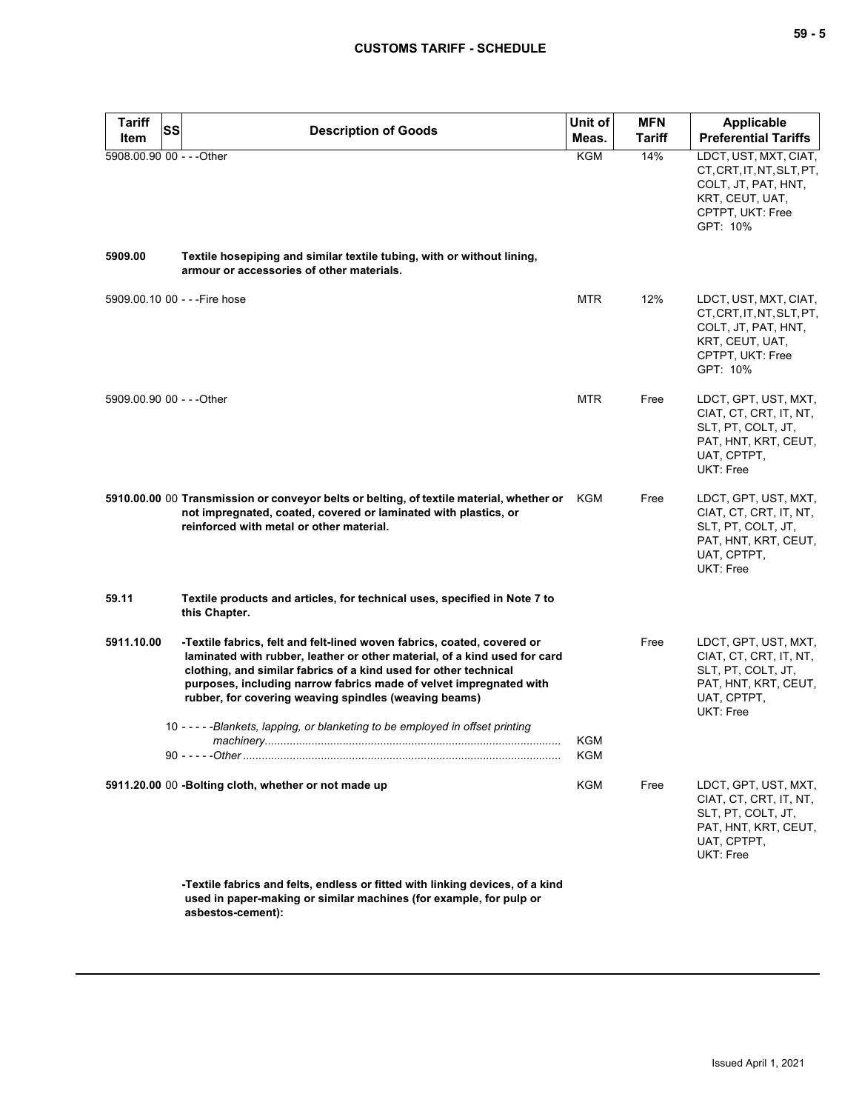| <b>Tariff</b> | <b>SS</b><br><b>Description of Goods</b>                                                                                                                                                                                                                                                                                                                | Unit of    | <b>MFN</b>    | <b>Applicable</b>                                                                                                            |
|---------------|---------------------------------------------------------------------------------------------------------------------------------------------------------------------------------------------------------------------------------------------------------------------------------------------------------------------------------------------------------|------------|---------------|------------------------------------------------------------------------------------------------------------------------------|
| Item          |                                                                                                                                                                                                                                                                                                                                                         | Meas.      | <b>Tariff</b> | <b>Preferential Tariffs</b>                                                                                                  |
|               | 5908.00.90 00 - - - Other                                                                                                                                                                                                                                                                                                                               | <b>KGM</b> | 14%           | LDCT, UST, MXT, CIAT,<br>CT, CRT, IT, NT, SLT, PT,<br>COLT, JT, PAT, HNT,<br>KRT, CEUT, UAT,<br>CPTPT, UKT: Free<br>GPT: 10% |
| 5909.00       | Textile hosepiping and similar textile tubing, with or without lining,<br>armour or accessories of other materials.                                                                                                                                                                                                                                     |            |               |                                                                                                                              |
|               | 5909.00.10 00 - - - Fire hose                                                                                                                                                                                                                                                                                                                           | <b>MTR</b> | 12%           | LDCT, UST, MXT, CIAT,<br>CT, CRT, IT, NT, SLT, PT,<br>COLT, JT, PAT, HNT,<br>KRT, CEUT, UAT,<br>CPTPT, UKT: Free<br>GPT: 10% |
|               | 5909.00.90 00 - - - Other                                                                                                                                                                                                                                                                                                                               | <b>MTR</b> | Free          | LDCT, GPT, UST, MXT,<br>CIAT, CT, CRT, IT, NT,<br>SLT, PT, COLT, JT,<br>PAT, HNT, KRT, CEUT,<br>UAT, CPTPT,<br>UKT: Free     |
|               | 5910.00.00 00 Transmission or conveyor belts or belting, of textile material, whether or KGM<br>not impregnated, coated, covered or laminated with plastics, or<br>reinforced with metal or other material.                                                                                                                                             |            | Free          | LDCT, GPT, UST, MXT,<br>CIAT, CT, CRT, IT, NT,<br>SLT, PT, COLT, JT,<br>PAT, HNT, KRT, CEUT,<br>UAT, CPTPT,<br>UKT: Free     |
| 59.11         | Textile products and articles, for technical uses, specified in Note 7 to<br>this Chapter.                                                                                                                                                                                                                                                              |            |               |                                                                                                                              |
| 5911.10.00    | -Textile fabrics, felt and felt-lined woven fabrics, coated, covered or<br>laminated with rubber, leather or other material, of a kind used for card<br>clothing, and similar fabrics of a kind used for other technical<br>purposes, including narrow fabrics made of velvet impregnated with<br>rubber, for covering weaving spindles (weaving beams) |            | Free          | LDCT, GPT, UST, MXT,<br>CIAT, CT, CRT, IT, NT,<br>SLT, PT, COLT, JT,<br>PAT, HNT, KRT, CEUT,<br>UAT, CPTPT,<br>UKT: Free     |
|               | 10 - - - - - Blankets, lapping, or blanketing to be employed in offset printing                                                                                                                                                                                                                                                                         | KGM<br>KGM |               |                                                                                                                              |
|               | 5911.20.00 00 -Bolting cloth, whether or not made up                                                                                                                                                                                                                                                                                                    | <b>KGM</b> | Free          | LDCT, GPT, UST, MXT,<br>CIAT, CT, CRT, IT, NT,<br>SLT, PT, COLT, JT,<br>PAT, HNT, KRT, CEUT,<br>UAT, CPTPT,<br>UKT: Free     |
|               | -Textile fabrics and felts, endless or fitted with linking devices, of a kind<br>used in paper-making or similar machines (for example, for pulp or                                                                                                                                                                                                     |            |               |                                                                                                                              |

**asbestos-cement):**